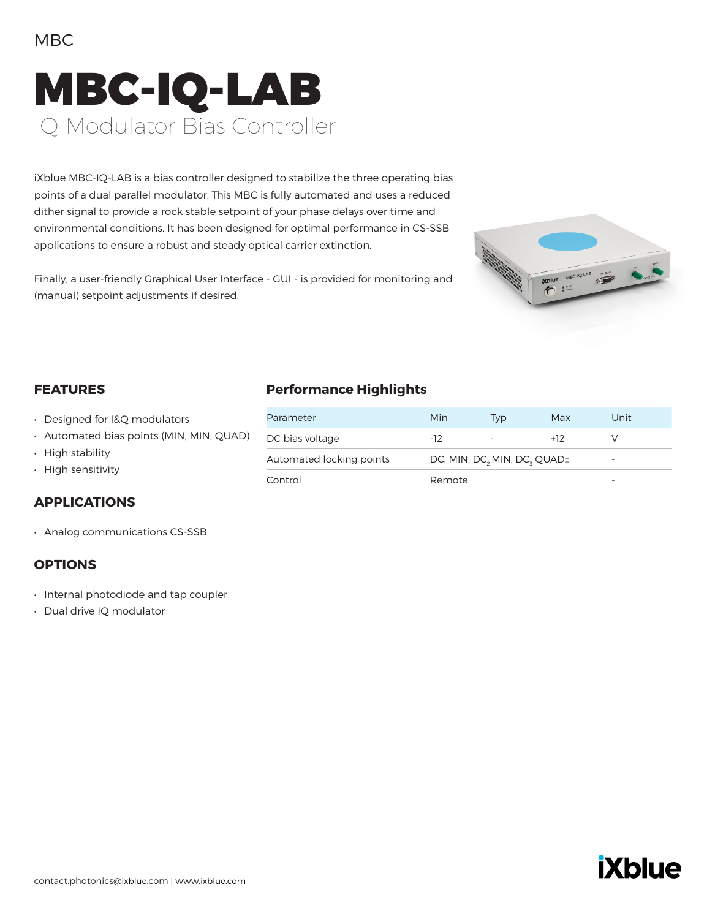### MBC

# MBC-IQ-LAB IQ Modulator Bias Controller

iXblue MBC-IQ-LAB is a bias controller designed to stabilize the three operating bias points of a dual parallel modulator. This MBC is fully automated and uses a reduced dither signal to provide a rock stable setpoint of your phase delays over time and environmental conditions. It has been designed for optimal performance in CS-SSB applications to ensure a robust and steady optical carrier extinction.



Finally, a user-friendly Graphical User Interface - GUI - is provided for monitoring and (manual) setpoint adjustments if desired.

#### **FEATURES**

- Designed for I&Q modulators
- Automated bias points (MIN, MIN, QUAD)
- High stability
- High sensitivity

#### **APPLICATIONS**

• Analog communications CS-SSB

#### **OPTIONS**

- Internal photodiode and tap coupler
- Dual drive IQ modulator

#### **Performance Highlights**

| Parameter                | Min                                  | Tvp | Max   | Unit                     |
|--------------------------|--------------------------------------|-----|-------|--------------------------|
| DC bias voltage          | $-12$                                |     | $+12$ |                          |
| Automated locking points | $DC_1$ MIN, $DC_2$ MIN, $DC_3$ QUAD± |     |       | $\overline{\phantom{0}}$ |
| Control                  | Remote                               |     |       | -                        |

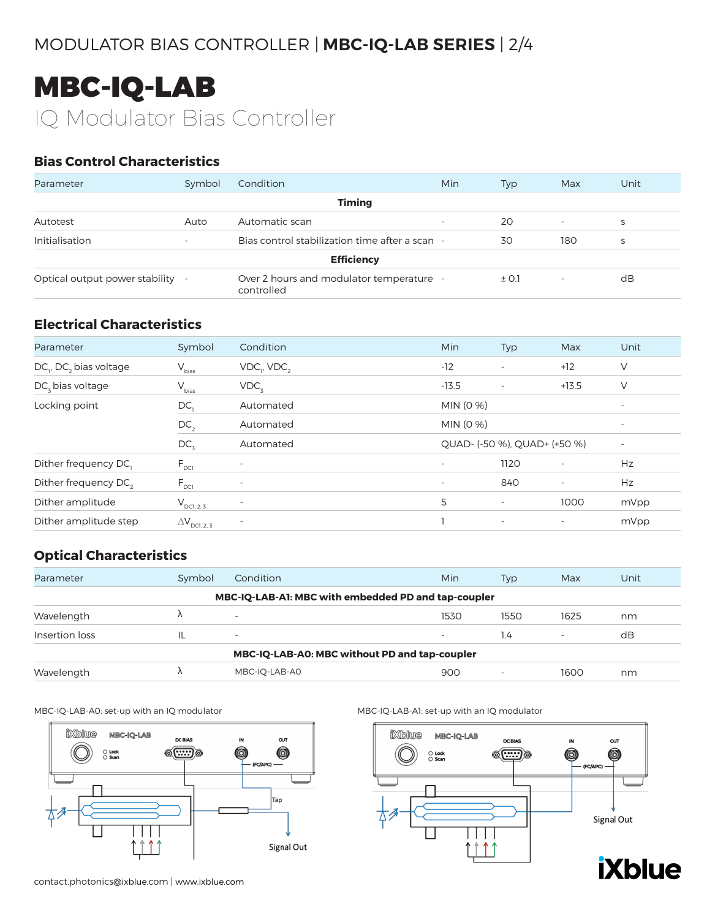### MODULATOR BIAS CONTROLLER | **MBC-IQ-LAB SERIES** | 2/4

## MBC-IQ-LAB IQ Modulator Bias Controller

#### **Bias Control Characteristics**

| Parameter                        | Symbol                   | Condition                                              | Min                      | Typ   | Max      | Unit |
|----------------------------------|--------------------------|--------------------------------------------------------|--------------------------|-------|----------|------|
|                                  |                          | <b>Timing</b>                                          |                          |       |          |      |
| Autotest                         | Auto                     | Automatic scan                                         | $\overline{\phantom{a}}$ | 20    | <b>.</b> | S    |
| Initialisation                   | $\overline{\phantom{a}}$ | Bias control stabilization time after a scan -         |                          | 30    | 180      | S    |
|                                  |                          | <b>Efficiency</b>                                      |                          |       |          |      |
| Optical output power stability - |                          | Over 2 hours and modulator temperature -<br>controlled |                          | ± 0.1 | <b>.</b> | dB   |

#### **Electrical Characteristics**

| Parameter                                      | Symbol                        | Condition             | <b>Min</b> | Typ                          | Max                      | Unit                     |
|------------------------------------------------|-------------------------------|-----------------------|------------|------------------------------|--------------------------|--------------------------|
| DC <sub>1</sub> , DC <sub>2</sub> bias voltage | $\mathsf{V}_{\mathsf{bias}}$  | $VDC_{1}$ , $VDC_{2}$ | $-12$      | $\overline{\phantom{a}}$     | $+12$                    | V                        |
| $DCx$ bias voltage                             | $V_{bias}$                    | VDC <sub>2</sub>      | $-13.5$    | $\overline{\phantom{a}}$     | $+13.5$                  | V                        |
| Locking point                                  | DC,                           | Automated             | MIN (0 %)  |                              |                          | $\overline{\phantom{a}}$ |
|                                                | DC <sub>2</sub>               | Automated             | MIN (0 %)  |                              |                          |                          |
|                                                | DC <sub>3</sub>               | Automated             |            | QUAD- (-50 %), QUAD+ (+50 %) |                          | $\overline{\phantom{a}}$ |
| Dither frequency DC,                           | $F_{\text{DCI}}$              |                       |            | 1120                         |                          | Hz                       |
| Dither frequency DC <sub>2</sub>               | $F_{DC1}$                     |                       |            | 840                          | $\overline{\phantom{a}}$ | Hz                       |
| Dither amplitude                               | $V_{\text{DCl, 2, 3}}$        |                       | 5          | $\overline{\phantom{a}}$     | 1000                     | mVpp                     |
| Dither amplitude step                          | $\Delta V_{\text{DCL, 2, 3}}$ |                       |            | $\overline{\phantom{a}}$     | $\overline{\phantom{a}}$ | mVpp                     |

#### **Optical Characteristics**

| Parameter                                     | Symbol | Condition                                           | Min                      | Typ  | Max  | Unit |
|-----------------------------------------------|--------|-----------------------------------------------------|--------------------------|------|------|------|
|                                               |        | MBC-IQ-LAB-A1: MBC with embedded PD and tap-coupler |                          |      |      |      |
| Wavelength                                    |        | $\overline{\phantom{a}}$                            | 1530                     | 1550 | 1625 | nm   |
| Insertion loss                                |        | $\overline{\phantom{0}}$                            | $\overline{\phantom{a}}$ | 1.4  |      | dB   |
| MBC-IQ-LAB-A0: MBC without PD and tap-coupler |        |                                                     |                          |      |      |      |
| Wavelength                                    |        | MBC-IQ-LAB-A0                                       | 900                      | ۰    | 1600 | nm   |

MBC-IQ-LAB-A0: set-up with an IQ modulator MBC-IQ-LAB-A1: set-up with an IQ modulator



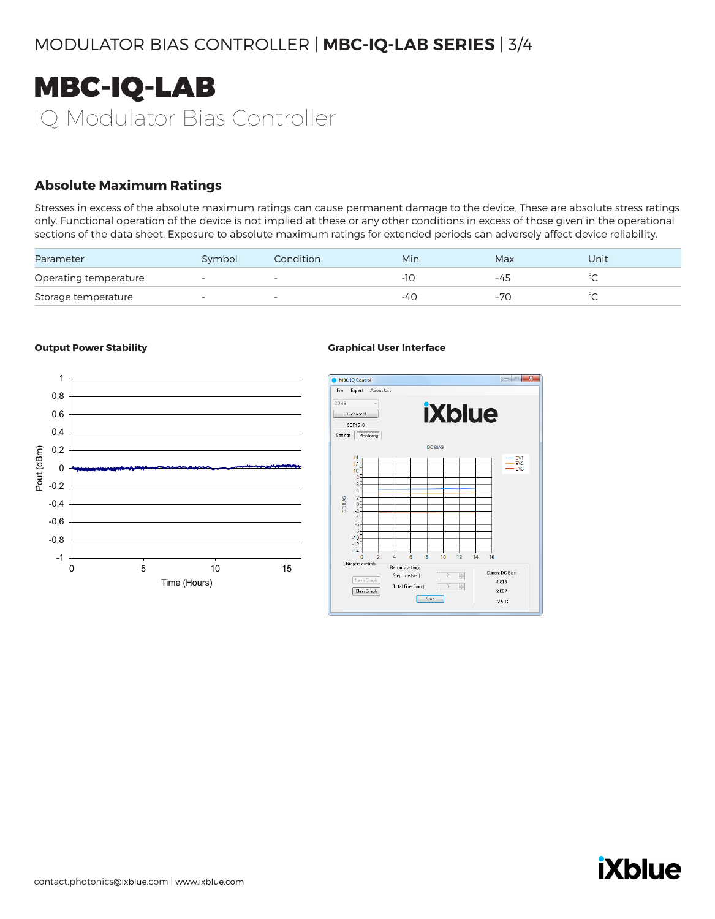

#### **Absolute Maximum Ratings**

Stresses in excess of the absolute maximum ratings can cause permanent damage to the device. These are absolute stress ratings only. Functional operation of the device is not implied at these or any other conditions in excess of those given in the operational sections of the data sheet. Exposure to absolute maximum ratings for extended periods can adversely affect device reliability.

| Parameter             | Symbol                   | Condition | Min | Max | Unit   |
|-----------------------|--------------------------|-----------|-----|-----|--------|
| Operating temperature | $\overline{\phantom{a}}$ |           |     | +45 | $\sim$ |
| Storage temperature   |                          |           | -40 | +70 | $\sim$ |

#### **Output Power Stability <b>Graphical User Interface**





# **iXblue**